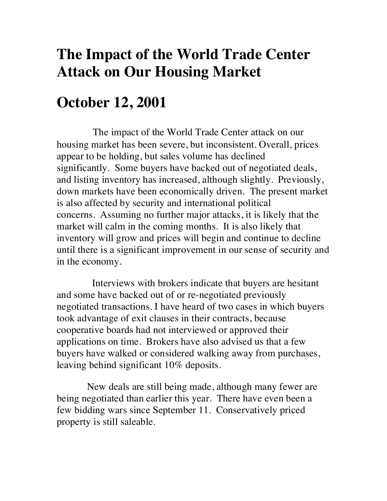# **The Impact of the World Trade Center Attack on Our Housing Market**

## **October 12, 2001**

The impact of the World Trade Center attack on our housing market has been severe, but inconsistent. Overall, prices appear to be holding, but sales volume has declined significantly. Some buyers have backed out of negotiated deals, and listing inventory has increased, although slightly. Previously, down markets have been economically driven. The present market is also affected by security and international political concerns. Assuming no further major attacks, it is likely that the market will calm in the coming months. It is also likely that inventory will grow and prices will begin and continue to decline until there is a significant improvement in our sense of security and in the economy.

Interviews with brokers indicate that buyers are hesitant and some have backed out of or re-negotiated previously negotiated transactions. I have heard of two cases in which buyers took advantage of exit clauses in their contracts, because cooperative boards had not interviewed or approved their applications on time. Brokers have also advised us that a few buyers have walked or considered walking away from purchases, leaving behind significant 10% deposits.

New deals are still being made, although many fewer are being negotiated than earlier this year. There have even been a few bidding wars since September 11. Conservatively priced property is still saleable.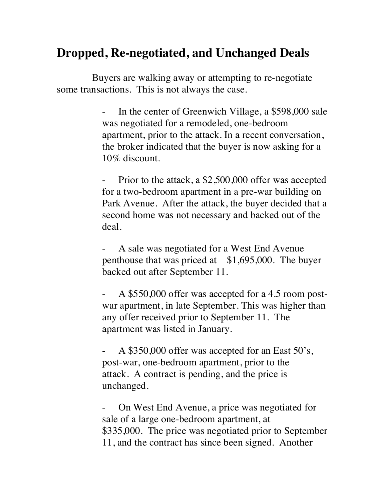### **Dropped, Re-negotiated, and Unchanged Deals**

Buyers are walking away or attempting to re-negotiate some transactions. This is not always the case.

> - In the center of Greenwich Village, a \$598,000 sale was negotiated for a remodeled, one-bedroom apartment, prior to the attack. In a recent conversation, the broker indicated that the buyer is now asking for a 10% discount.

> Prior to the attack, a \$2,500,000 offer was accepted for a two-bedroom apartment in a pre-war building on Park Avenue. After the attack, the buyer decided that a second home was not necessary and backed out of the deal.

A sale was negotiated for a West End Avenue penthouse that was priced at \$1,695,000. The buyer backed out after September 11.

A \$550,000 offer was accepted for a 4.5 room postwar apartment, in late September. This was higher than any offer received prior to September 11. The apartment was listed in January.

A \$350,000 offer was accepted for an East 50's, post-war, one-bedroom apartment, prior to the attack. A contract is pending, and the price is unchanged.

- On West End Avenue, a price was negotiated for sale of a large one-bedroom apartment, at \$335,000. The price was negotiated prior to September 11, and the contract has since been signed. Another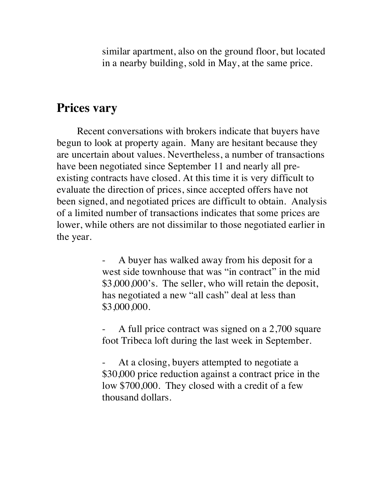similar apartment, also on the ground floor, but located in a nearby building, sold in May, at the same price.

#### **Prices vary**

Recent conversations with brokers indicate that buyers have begun to look at property again. Many are hesitant because they are uncertain about values. Nevertheless, a number of transactions have been negotiated since September 11 and nearly all preexisting contracts have closed. At this time it is very difficult to evaluate the direction of prices, since accepted offers have not been signed, and negotiated prices are difficult to obtain. Analysis of a limited number of transactions indicates that some prices are lower, while others are not dissimilar to those negotiated earlier in the year.

> A buyer has walked away from his deposit for a west side townhouse that was "in contract" in the mid \$3,000,000's. The seller, who will retain the deposit, has negotiated a new "all cash" deal at less than \$3,000,000.

> A full price contract was signed on a 2,700 square foot Tribeca loft during the last week in September.

> At a closing, buyers attempted to negotiate a \$30,000 price reduction against a contract price in the low \$700,000. They closed with a credit of a few thousand dollars.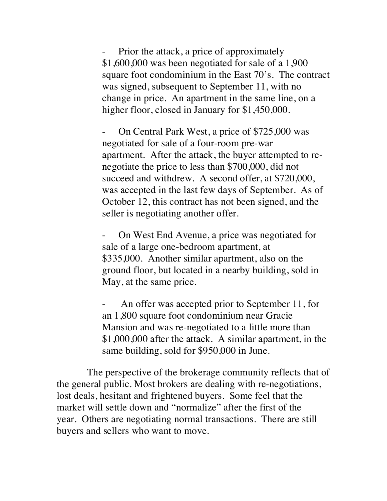Prior the attack, a price of approximately \$1,600,000 was been negotiated for sale of a 1,900 square foot condominium in the East 70's. The contract was signed, subsequent to September 11, with no change in price. An apartment in the same line, on a higher floor, closed in January for \$1,450,000.

- On Central Park West, a price of \$725,000 was negotiated for sale of a four-room pre-war apartment. After the attack, the buyer attempted to renegotiate the price to less than \$700,000, did not succeed and withdrew. A second offer, at \$720,000, was accepted in the last few days of September. As of October 12, this contract has not been signed, and the seller is negotiating another offer.

- On West End Avenue, a price was negotiated for sale of a large one-bedroom apartment, at \$335,000. Another similar apartment, also on the ground floor, but located in a nearby building, sold in May, at the same price.

An offer was accepted prior to September 11, for an 1,800 square foot condominium near Gracie Mansion and was re-negotiated to a little more than \$1,000,000 after the attack. A similar apartment, in the same building, sold for \$950,000 in June.

The perspective of the brokerage community reflects that of the general public. Most brokers are dealing with re-negotiations, lost deals, hesitant and frightened buyers. Some feel that the market will settle down and "normalize" after the first of the year. Others are negotiating normal transactions. There are still buyers and sellers who want to move.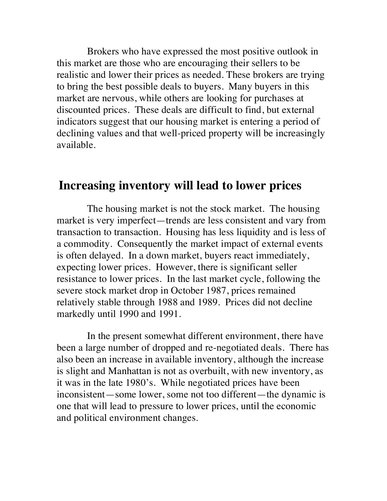Brokers who have expressed the most positive outlook in this market are those who are encouraging their sellers to be realistic and lower their prices as needed. These brokers are trying to bring the best possible deals to buyers. Many buyers in this market are nervous, while others are looking for purchases at discounted prices. These deals are difficult to find, but external indicators suggest that our housing market is entering a period of declining values and that well-priced property will be increasingly available.

#### **Increasing inventory will lead to lower prices**

The housing market is not the stock market. The housing market is very imperfect—trends are less consistent and vary from transaction to transaction. Housing has less liquidity and is less of a commodity. Consequently the market impact of external events is often delayed. In a down market, buyers react immediately, expecting lower prices. However, there is significant seller resistance to lower prices. In the last market cycle, following the severe stock market drop in October 1987, prices remained relatively stable through 1988 and 1989. Prices did not decline markedly until 1990 and 1991.

In the present somewhat different environment, there have been a large number of dropped and re-negotiated deals. There has also been an increase in available inventory, although the increase is slight and Manhattan is not as overbuilt, with new inventory, as it was in the late 1980's. While negotiated prices have been inconsistent—some lower, some not too different—the dynamic is one that will lead to pressure to lower prices, until the economic and political environment changes.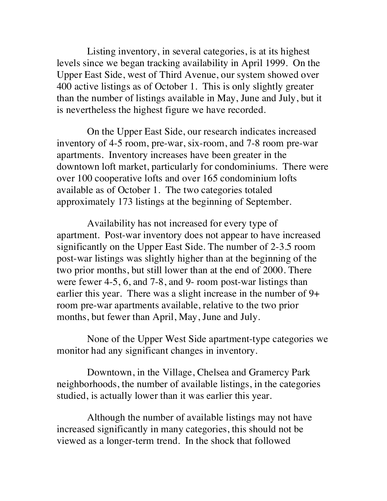Listing inventory, in several categories, is at its highest levels since we began tracking availability in April 1999. On the Upper East Side, west of Third Avenue, our system showed over 400 active listings as of October 1. This is only slightly greater than the number of listings available in May, June and July, but it is nevertheless the highest figure we have recorded.

On the Upper East Side, our research indicates increased inventory of 4-5 room, pre-war, six-room, and 7-8 room pre-war apartments. Inventory increases have been greater in the downtown loft market, particularly for condominiums. There were over 100 cooperative lofts and over 165 condominium lofts available as of October 1. The two categories totaled approximately 173 listings at the beginning of September.

Availability has not increased for every type of apartment. Post-war inventory does not appear to have increased significantly on the Upper East Side. The number of 2-3.5 room post-war listings was slightly higher than at the beginning of the two prior months, but still lower than at the end of 2000. There were fewer 4-5, 6, and 7-8, and 9- room post-war listings than earlier this year. There was a slight increase in the number of 9+ room pre-war apartments available, relative to the two prior months, but fewer than April, May, June and July.

None of the Upper West Side apartment-type categories we monitor had any significant changes in inventory.

Downtown, in the Village, Chelsea and Gramercy Park neighborhoods, the number of available listings, in the categories studied, is actually lower than it was earlier this year.

Although the number of available listings may not have increased significantly in many categories, this should not be viewed as a longer-term trend. In the shock that followed